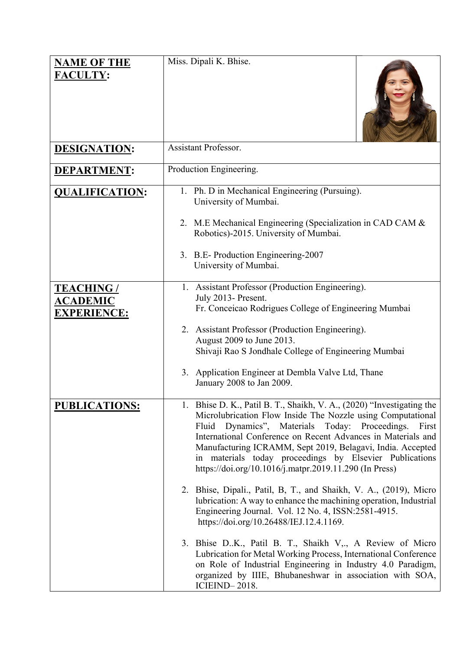| <b>NAME OF THE</b><br><b>FACULTY:</b>                     | Miss. Dipali K. Bhise.                                                                                                                                                                                                                                                                                                                                                                                                                                |  |
|-----------------------------------------------------------|-------------------------------------------------------------------------------------------------------------------------------------------------------------------------------------------------------------------------------------------------------------------------------------------------------------------------------------------------------------------------------------------------------------------------------------------------------|--|
| <b>DESIGNATION:</b>                                       | <b>Assistant Professor.</b>                                                                                                                                                                                                                                                                                                                                                                                                                           |  |
| <b>DEPARTMENT:</b>                                        | Production Engineering.                                                                                                                                                                                                                                                                                                                                                                                                                               |  |
| <b>QUALIFICATION:</b>                                     | 1. Ph. D in Mechanical Engineering (Pursuing).<br>University of Mumbai.<br>2. M.E Mechanical Engineering (Specialization in CAD CAM &<br>Robotics)-2015. University of Mumbai.                                                                                                                                                                                                                                                                        |  |
|                                                           | 3. B.E- Production Engineering-2007<br>University of Mumbai.                                                                                                                                                                                                                                                                                                                                                                                          |  |
| <b>TEACHING/</b><br><u>ACADEMIC</u><br><b>EXPERIENCE:</b> | 1. Assistant Professor (Production Engineering).<br>July 2013- Present.<br>Fr. Conceicao Rodrigues College of Engineering Mumbai<br>2. Assistant Professor (Production Engineering).<br>August 2009 to June 2013.<br>Shivaji Rao S Jondhale College of Engineering Mumbai                                                                                                                                                                             |  |
|                                                           | 3. Application Engineer at Dembla Valve Ltd, Thane<br>January 2008 to Jan 2009.                                                                                                                                                                                                                                                                                                                                                                       |  |
| <b>PUBLICATIONS:</b>                                      | 1. Bhise D. K., Patil B. T., Shaikh, V. A., (2020) "Investigating the<br>Microlubrication Flow Inside The Nozzle using Computational<br>Dynamics", Materials Today: Proceedings.<br>Fluid<br>First<br>International Conference on Recent Advances in Materials and<br>Manufacturing ICRAMM, Sept 2019, Belagavi, India. Accepted<br>in materials today proceedings by Elsevier Publications<br>https://doi.org/10.1016/j.matpr.2019.11.290 (In Press) |  |
|                                                           | 2. Bhise, Dipali., Patil, B, T., and Shaikh, V. A., (2019), Micro<br>lubrication: A way to enhance the machining operation, Industrial<br>Engineering Journal. Vol. 12 No. 4, ISSN:2581-4915.<br>https://doi.org/10.26488/IEJ.12.4.1169.                                                                                                                                                                                                              |  |
|                                                           | 3. Bhise D.K., Patil B. T., Shaikh V,., A Review of Micro<br>Lubrication for Metal Working Process, International Conference<br>on Role of Industrial Engineering in Industry 4.0 Paradigm,<br>organized by IIIE, Bhubaneshwar in association with SOA,<br><b>ICIEIND-2018.</b>                                                                                                                                                                       |  |